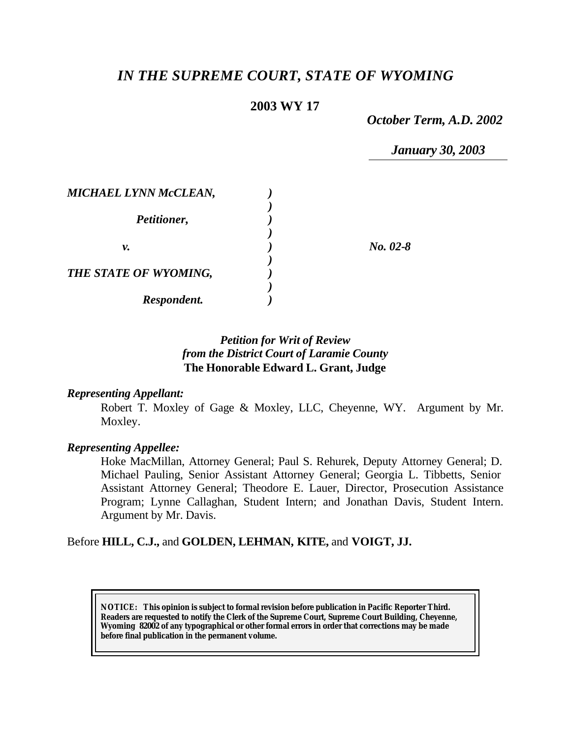# *IN THE SUPREME COURT, STATE OF WYOMING*

# **2003 WY 17**

*October Term, A.D. 2002*

*January 30, 2003*

| <b>MICHAEL LYNN McCLEAN,</b> |            |
|------------------------------|------------|
| Petitioner,                  |            |
| ν.                           | $No. 02-8$ |
| THE STATE OF WYOMING,        |            |
| Respondent.                  |            |

# *Petition for Writ of Review from the District Court of Laramie County* **The Honorable Edward L. Grant, Judge**

### *Representing Appellant:*

Robert T. Moxley of Gage & Moxley, LLC, Cheyenne, WY. Argument by Mr. Moxley.

### *Representing Appellee:*

Hoke MacMillan, Attorney General; Paul S. Rehurek, Deputy Attorney General; D. Michael Pauling, Senior Assistant Attorney General; Georgia L. Tibbetts, Senior Assistant Attorney General; Theodore E. Lauer, Director, Prosecution Assistance Program; Lynne Callaghan, Student Intern; and Jonathan Davis, Student Intern. Argument by Mr. Davis.

Before **HILL, C.J.,** and **GOLDEN, LEHMAN, KITE,** and **VOIGT, JJ.**

**NOTICE:** *This opinion is subject to formal revision before publication in Pacific Reporter Third. Readers are requested to notify the Clerk of the Supreme Court, Supreme Court Building, Cheyenne, Wyoming 82002 of any typographical or other formal errors in order that corrections may be made before final publication in the permanent volume.*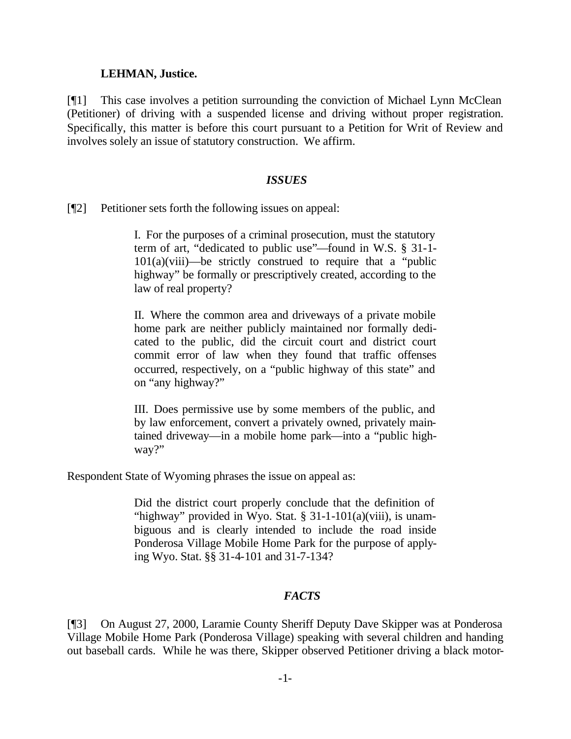#### **LEHMAN, Justice.**

[¶1] This case involves a petition surrounding the conviction of Michael Lynn McClean (Petitioner) of driving with a suspended license and driving without proper registration. Specifically, this matter is before this court pursuant to a Petition for Writ of Review and involves solely an issue of statutory construction. We affirm.

#### *ISSUES*

[¶2] Petitioner sets forth the following issues on appeal:

I. For the purposes of a criminal prosecution, must the statutory term of art, "dedicated to public use"—found in W.S. § 31-1-  $101(a)(viii)$ —be strictly construed to require that a "public highway" be formally or prescriptively created, according to the law of real property?

II. Where the common area and driveways of a private mobile home park are neither publicly maintained nor formally dedicated to the public, did the circuit court and district court commit error of law when they found that traffic offenses occurred, respectively, on a "public highway of this state" and on "any highway?"

III. Does permissive use by some members of the public, and by law enforcement, convert a privately owned, privately maintained driveway—in a mobile home park—into a "public highway?"

Respondent State of Wyoming phrases the issue on appeal as:

Did the district court properly conclude that the definition of "highway" provided in Wyo. Stat.  $\S 31-1-101(a)(viii)$ , is unambiguous and is clearly intended to include the road inside Ponderosa Village Mobile Home Park for the purpose of applying Wyo. Stat. §§ 31-4-101 and 31-7-134?

## *FACTS*

[¶3] On August 27, 2000, Laramie County Sheriff Deputy Dave Skipper was at Ponderosa Village Mobile Home Park (Ponderosa Village) speaking with several children and handing out baseball cards. While he was there, Skipper observed Petitioner driving a black motor-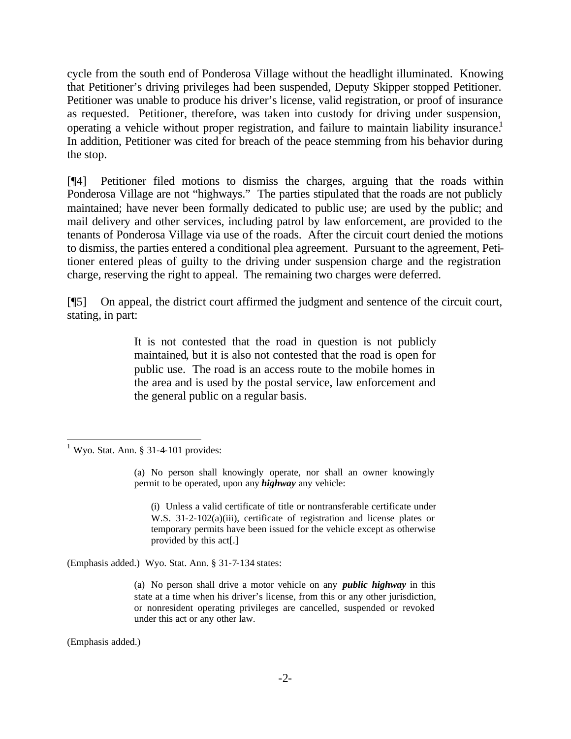cycle from the south end of Ponderosa Village without the headlight illuminated. Knowing that Petitioner's driving privileges had been suspended, Deputy Skipper stopped Petitioner. Petitioner was unable to produce his driver's license, valid registration, or proof of insurance as requested. Petitioner, therefore, was taken into custody for driving under suspension, operating a vehicle without proper registration, and failure to maintain liability insurance.<sup>1</sup> In addition, Petitioner was cited for breach of the peace stemming from his behavior during the stop.

[¶4] Petitioner filed motions to dismiss the charges, arguing that the roads within Ponderosa Village are not "highways." The parties stipulated that the roads are not publicly maintained; have never been formally dedicated to public use; are used by the public; and mail delivery and other services, including patrol by law enforcement, are provided to the tenants of Ponderosa Village via use of the roads. After the circuit court denied the motions to dismiss, the parties entered a conditional plea agreement. Pursuant to the agreement, Petitioner entered pleas of guilty to the driving under suspension charge and the registration charge, reserving the right to appeal. The remaining two charges were deferred.

[¶5] On appeal, the district court affirmed the judgment and sentence of the circuit court, stating, in part:

> It is not contested that the road in question is not publicly maintained, but it is also not contested that the road is open for public use. The road is an access route to the mobile homes in the area and is used by the postal service, law enforcement and the general public on a regular basis.

(i) Unless a valid certificate of title or nontransferable certificate under W.S. 31-2-102(a)(iii), certificate of registration and license plates or temporary permits have been issued for the vehicle except as otherwise provided by this act[.]

(Emphasis added.) Wyo. Stat. Ann. § 31-7-134 states:

(a) No person shall drive a motor vehicle on any *public highway* in this state at a time when his driver's license, from this or any other jurisdiction, or nonresident operating privileges are cancelled, suspended or revoked under this act or any other law.

(Emphasis added.)

 $1$  Wyo. Stat. Ann. § 31-4-101 provides:

<sup>(</sup>a) No person shall knowingly operate, nor shall an owner knowingly permit to be operated, upon any *highway* any vehicle: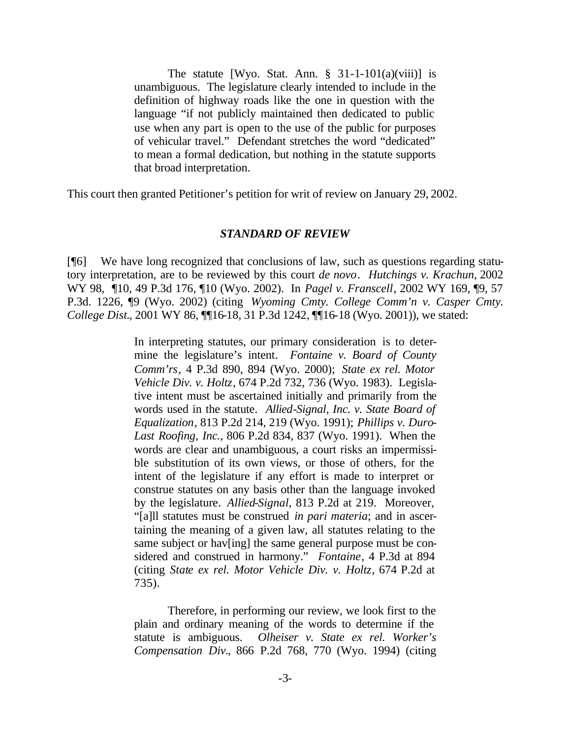The statute [Wyo. Stat. Ann.  $\S$  31-1-101(a)(viii)] is unambiguous. The legislature clearly intended to include in the definition of highway roads like the one in question with the language "if not publicly maintained then dedicated to public use when any part is open to the use of the public for purposes of vehicular travel." Defendant stretches the word "dedicated" to mean a formal dedication, but nothing in the statute supports that broad interpretation.

This court then granted Petitioner's petition for writ of review on January 29, 2002.

#### *STANDARD OF REVIEW*

[¶6] We have long recognized that conclusions of law, such as questions regarding statutory interpretation, are to be reviewed by this court *de novo*. *Hutchings v. Krachun*, 2002 WY 98, ¶10, 49 P.3d 176, ¶10 (Wyo. 2002). In *Pagel v. Franscell*, 2002 WY 169, ¶9, 57 P.3d. 1226, ¶9 (Wyo. 2002) (citing *Wyoming Cmty. College Comm'n v. Casper Cmty. College Dist.*, 2001 WY 86, ¶¶16-18, 31 P.3d 1242, ¶¶16-18 (Wyo. 2001)), we stated:

> In interpreting statutes, our primary consideration is to determine the legislature's intent. *Fontaine v. Board of County Comm'rs*, 4 P.3d 890, 894 (Wyo. 2000); *State ex rel. Motor Vehicle Div. v. Holtz*, 674 P.2d 732, 736 (Wyo. 1983). Legislative intent must be ascertained initially and primarily from the words used in the statute. *Allied-Signal, Inc. v. State Board of Equalization*, 813 P.2d 214, 219 (Wyo. 1991); *Phillips v. Duro-Last Roofing, Inc.*, 806 P.2d 834, 837 (Wyo. 1991). When the words are clear and unambiguous, a court risks an impermissible substitution of its own views, or those of others, for the intent of the legislature if any effort is made to interpret or construe statutes on any basis other than the language invoked by the legislature. *Allied-Signal*, 813 P.2d at 219. Moreover, "[a]ll statutes must be construed *in pari materia*; and in ascertaining the meaning of a given law, all statutes relating to the same subject or hav[ing] the same general purpose must be considered and construed in harmony." *Fontaine*, 4 P.3d at 894 (citing *State ex rel. Motor Vehicle Div. v. Holtz*, 674 P.2d at 735).

> Therefore, in performing our review, we look first to the plain and ordinary meaning of the words to determine if the statute is ambiguous. *Olheiser v. State ex rel. Worker's Compensation Div.*, 866 P.2d 768, 770 (Wyo. 1994) (citing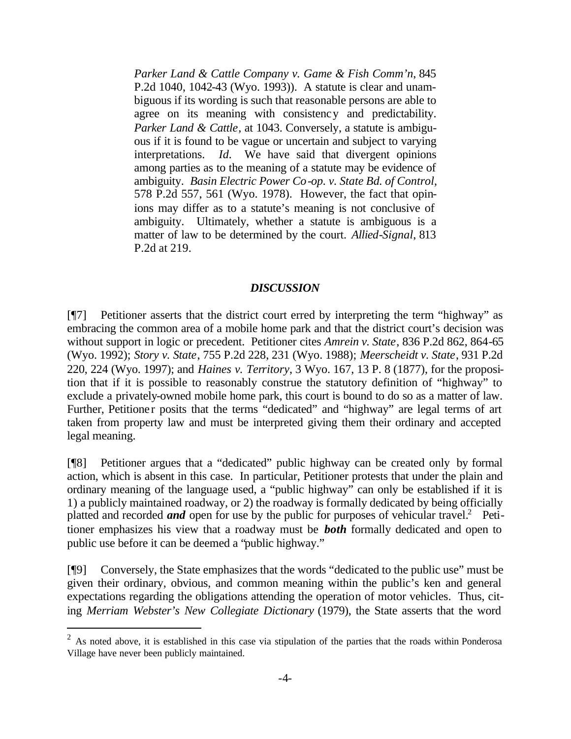*Parker Land & Cattle Company v. Game & Fish Comm'n*, 845 P.2d 1040, 1042-43 (Wyo. 1993)). A statute is clear and unambiguous if its wording is such that reasonable persons are able to agree on its meaning with consistency and predictability. *Parker Land & Cattle*, at 1043. Conversely, a statute is ambiguous if it is found to be vague or uncertain and subject to varying interpretations. *Id.* We have said that divergent opinions among parties as to the meaning of a statute may be evidence of ambiguity. *Basin Electric Power Co-op. v. State Bd. of Control*, 578 P.2d 557, 561 (Wyo. 1978). However, the fact that opinions may differ as to a statute's meaning is not conclusive of ambiguity. Ultimately, whether a statute is ambiguous is a matter of law to be determined by the court. *Allied-Signal*, 813 P.2d at 219.

## *DISCUSSION*

[¶7] Petitioner asserts that the district court erred by interpreting the term "highway" as embracing the common area of a mobile home park and that the district court's decision was without support in logic or precedent. Petitioner cites *Amrein v. State*, 836 P.2d 862, 864-65 (Wyo. 1992); *Story v. State*, 755 P.2d 228, 231 (Wyo. 1988); *Meerscheidt v. State*, 931 P.2d 220, 224 (Wyo. 1997); and *Haines v. Territory*, 3 Wyo. 167, 13 P. 8 (1877), for the proposition that if it is possible to reasonably construe the statutory definition of "highway" to exclude a privately-owned mobile home park, this court is bound to do so as a matter of law. Further, Petitioner posits that the terms "dedicated" and "highway" are legal terms of art taken from property law and must be interpreted giving them their ordinary and accepted legal meaning.

[¶8] Petitioner argues that a "dedicated" public highway can be created only by formal action, which is absent in this case. In particular, Petitioner protests that under the plain and ordinary meaning of the language used, a "public highway" can only be established if it is 1) a publicly maintained roadway, or 2) the roadway is formally dedicated by being officially platted and recorded *and* open for use by the public for purposes of vehicular travel.<sup>2</sup> Petitioner emphasizes his view that a roadway must be *both* formally dedicated and open to public use before it can be deemed a "public highway."

[¶9] Conversely, the State emphasizes that the words "dedicated to the public use" must be given their ordinary, obvious, and common meaning within the public's ken and general expectations regarding the obligations attending the operation of motor vehicles. Thus, citing *Merriam Webster's New Collegiate Dictionary* (1979), the State asserts that the word

<sup>&</sup>lt;sup>2</sup> As noted above, it is established in this case via stipulation of the parties that the roads within Ponderosa Village have never been publicly maintained.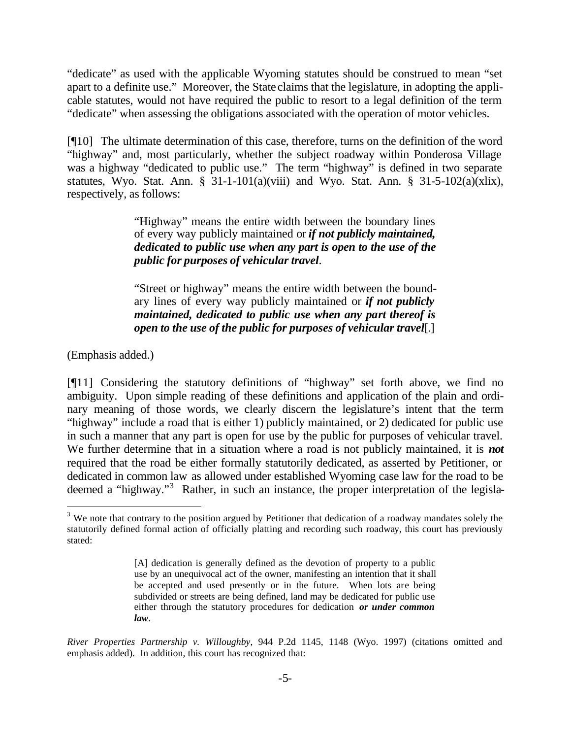"dedicate" as used with the applicable Wyoming statutes should be construed to mean "set apart to a definite use." Moreover, the State claims that the legislature, in adopting the applicable statutes, would not have required the public to resort to a legal definition of the term "dedicate" when assessing the obligations associated with the operation of motor vehicles.

[¶10] The ultimate determination of this case, therefore, turns on the definition of the word "highway" and, most particularly, whether the subject roadway within Ponderosa Village was a highway "dedicated to public use." The term "highway" is defined in two separate statutes, Wyo. Stat. Ann. § 31-1-101(a)(viii) and Wyo. Stat. Ann. § 31-5-102(a)(xlix), respectively, as follows:

> "Highway" means the entire width between the boundary lines of every way publicly maintained or *if not publicly maintained, dedicated to public use when any part is open to the use of the public for purposes of vehicular travel*.

> "Street or highway" means the entire width between the boundary lines of every way publicly maintained or *if not publicly maintained, dedicated to public use when any part thereof is open to the use of the public for purposes of vehicular travel*[.]

(Emphasis added.)

l

[¶11] Considering the statutory definitions of "highway" set forth above, we find no ambiguity. Upon simple reading of these definitions and application of the plain and ordinary meaning of those words, we clearly discern the legislature's intent that the term "highway" include a road that is either 1) publicly maintained, or 2) dedicated for public use in such a manner that any part is open for use by the public for purposes of vehicular travel. We further determine that in a situation where a road is not publicly maintained, it is *not* required that the road be either formally statutorily dedicated, as asserted by Petitioner, or dedicated in common law as allowed under established Wyoming case law for the road to be deemed a "highway."<sup>3</sup> Rather, in such an instance, the proper interpretation of the legisla-

*River Properties Partnership v. Willoughby*, 944 P.2d 1145, 1148 (Wyo. 1997) (citations omitted and emphasis added). In addition, this court has recognized that:

 $3$  We note that contrary to the position argued by Petitioner that dedication of a roadway mandates solely the statutorily defined formal action of officially platting and recording such roadway, this court has previously stated:

<sup>[</sup>A] dedication is generally defined as the devotion of property to a public use by an unequivocal act of the owner, manifesting an intention that it shall be accepted and used presently or in the future. When lots are being subdivided or streets are being defined, land may be dedicated for public use either through the statutory procedures for dedication *or under common law*.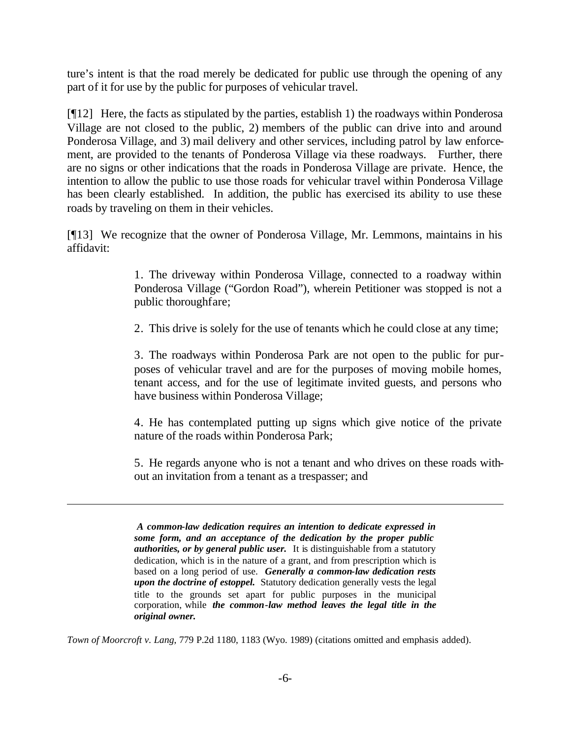ture's intent is that the road merely be dedicated for public use through the opening of any part of it for use by the public for purposes of vehicular travel.

[¶12] Here, the facts as stipulated by the parties, establish 1) the roadways within Ponderosa Village are not closed to the public, 2) members of the public can drive into and around Ponderosa Village, and 3) mail delivery and other services, including patrol by law enforcement, are provided to the tenants of Ponderosa Village via these roadways. Further, there are no signs or other indications that the roads in Ponderosa Village are private. Hence, the intention to allow the public to use those roads for vehicular travel within Ponderosa Village has been clearly established. In addition, the public has exercised its ability to use these roads by traveling on them in their vehicles.

[¶13] We recognize that the owner of Ponderosa Village, Mr. Lemmons, maintains in his affidavit:

> 1. The driveway within Ponderosa Village, connected to a roadway within Ponderosa Village ("Gordon Road"), wherein Petitioner was stopped is not a public thoroughfare;

> 2. This drive is solely for the use of tenants which he could close at any time;

3. The roadways within Ponderosa Park are not open to the public for purposes of vehicular travel and are for the purposes of moving mobile homes, tenant access, and for the use of legitimate invited guests, and persons who have business within Ponderosa Village;

4. He has contemplated putting up signs which give notice of the private nature of the roads within Ponderosa Park;

5. He regards anyone who is not a tenant and who drives on these roads without an invitation from a tenant as a trespasser; and

*A common-law dedication requires an intention to dedicate expressed in some form, and an acceptance of the dedication by the proper public authorities, or by general public user.* It is distinguishable from a statutory dedication, which is in the nature of a grant, and from prescription which is based on a long period of use. *Generally a common-law dedication rests upon the doctrine of estoppel.* Statutory dedication generally vests the legal title to the grounds set apart for public purposes in the municipal corporation, while *the common-law method leaves the legal title in the original owner.*

*Town of Moorcroft v. Lang*, 779 P.2d 1180, 1183 (Wyo. 1989) (citations omitted and emphasis added).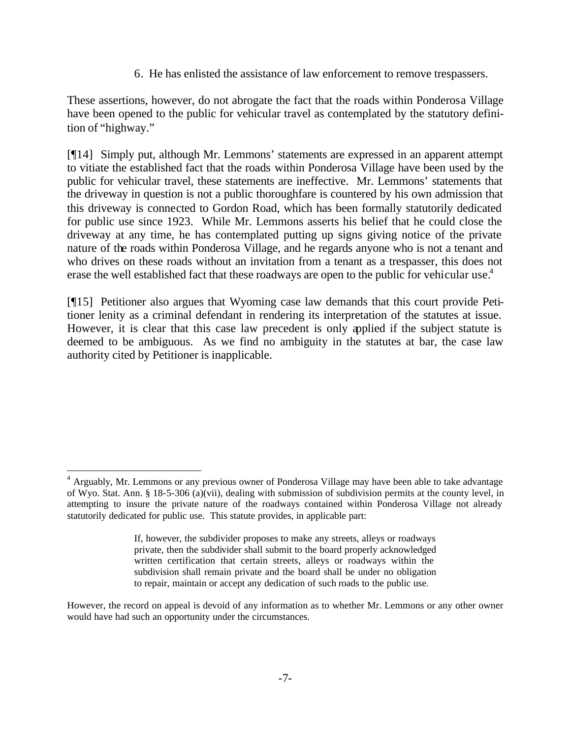6. He has enlisted the assistance of law enforcement to remove trespassers.

These assertions, however, do not abrogate the fact that the roads within Ponderosa Village have been opened to the public for vehicular travel as contemplated by the statutory definition of "highway."

[¶14] Simply put, although Mr. Lemmons' statements are expressed in an apparent attempt to vitiate the established fact that the roads within Ponderosa Village have been used by the public for vehicular travel, these statements are ineffective. Mr. Lemmons' statements that the driveway in question is not a public thoroughfare is countered by his own admission that this driveway is connected to Gordon Road, which has been formally statutorily dedicated for public use since 1923. While Mr. Lemmons asserts his belief that he could close the driveway at any time, he has contemplated putting up signs giving notice of the private nature of the roads within Ponderosa Village, and he regards anyone who is not a tenant and who drives on these roads without an invitation from a tenant as a trespasser, this does not erase the well established fact that these roadways are open to the public for vehicular use.<sup>4</sup>

[¶15] Petitioner also argues that Wyoming case law demands that this court provide Petitioner lenity as a criminal defendant in rendering its interpretation of the statutes at issue. However, it is clear that this case law precedent is only applied if the subject statute is deemed to be ambiguous. As we find no ambiguity in the statutes at bar, the case law authority cited by Petitioner is inapplicable.

<sup>&</sup>lt;sup>4</sup> Arguably, Mr. Lemmons or any previous owner of Ponderosa Village may have been able to take advantage of Wyo. Stat. Ann. § 18-5-306 (a)(vii), dealing with submission of subdivision permits at the county level, in attempting to insure the private nature of the roadways contained within Ponderosa Village not already statutorily dedicated for public use. This statute provides, in applicable part:

If, however, the subdivider proposes to make any streets, alleys or roadways private, then the subdivider shall submit to the board properly acknowledged written certification that certain streets, alleys or roadways within the subdivision shall remain private and the board shall be under no obligation to repair, maintain or accept any dedication of such roads to the public use.

However, the record on appeal is devoid of any information as to whether Mr. Lemmons or any other owner would have had such an opportunity under the circumstances.